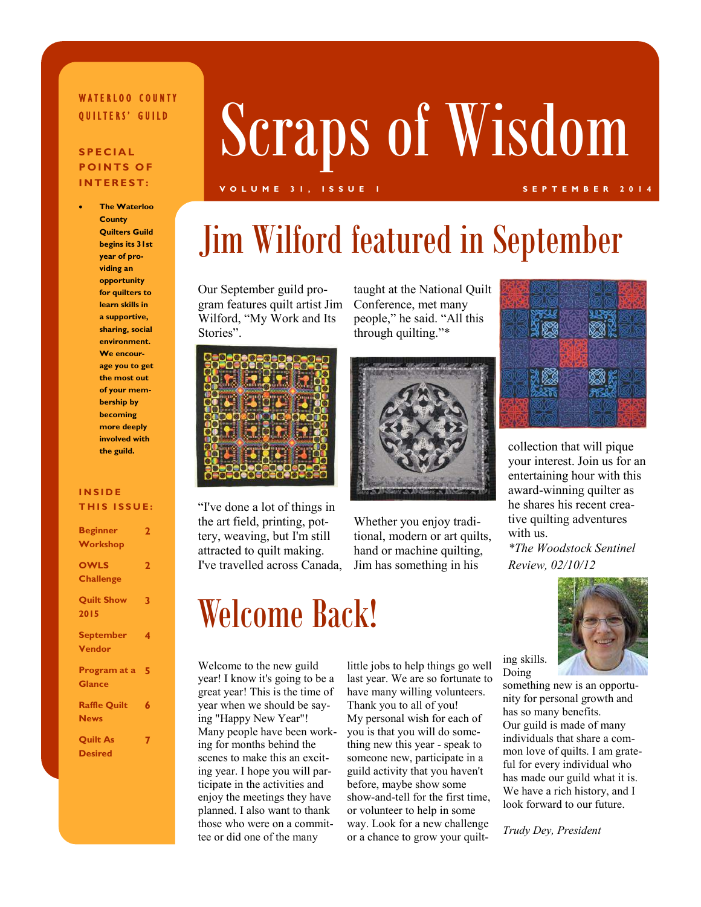#### WATERLOO COUNTY OUILTERS' GUILD

### **POINTS OF INTEREST:**

**The Waterloo County Quilters Guild begins its 31st year of providing an opportunity for quilters to learn skills in a supportive, sharing, social environment. We encourage you to get the most out of your membership by becoming more deeply involved with the guild.**

#### **INSIDE THIS ISSUE:**

| <b>Beginner</b>     | $\overline{\mathbf{2}}$ |
|---------------------|-------------------------|
| Workshop            |                         |
| <b>OWLS</b>         | $\overline{\mathbf{2}}$ |
| <b>Challenge</b>    |                         |
| <b>Quilt Show</b>   | 3                       |
| 2015                |                         |
| <b>September</b>    | 4                       |
| <b>Vendor</b>       |                         |
| Program at a 5      |                         |
| <b>Glance</b>       |                         |
| <b>Raffle Quilt</b> | 6                       |
| <b>News</b>         |                         |
| <b>Quilt As</b>     | 7                       |
| <b>Desired</b>      |                         |

# Scraps of Wisdom

#### **VOLUME 31, ISSUE 1 SEPTEMBER 2014**

# Jim Wilford featured in September

Our September guild program features quilt artist Jim Wilford, "My Work and Its Stories".



"I've done a lot of things in the art field, printing, pottery, weaving, but I'm still attracted to quilt making. I've travelled across Canada,

### Welcome Back!

Welcome to the new guild year! I know it's going to be a great year! This is the time of year when we should be saying "Happy New Year"! Many people have been working for months behind the scenes to make this an exciting year. I hope you will participate in the activities and enjoy the meetings they have planned. I also want to thank those who were on a committee or did one of the many

little jobs to help things go well last year. We are so fortunate to have many willing volunteers. Thank you to all of you! My personal wish for each of you is that you will do something new this year - speak to someone new, participate in a guild activity that you haven't before, maybe show some show-and-tell for the first time, or volunteer to help in some way. Look for a new challenge or a chance to grow your quilt-



collection that will pique your interest. Join us for an entertaining hour with this award-winning quilter as he shares his recent creative quilting adventures with us.

*\*The Woodstock Sentinel Review, 02/10/12*



ing skills. Doing

something new is an opportunity for personal growth and has so many benefits. Our guild is made of many individuals that share a common love of quilts. I am grateful for every individual who has made our guild what it is. We have a rich history, and I look forward to our future.

*Trudy Dey, President*

#### taught at the National Quilt Conference, met many people," he said. "All this through quilting."\*



Whether you enjoy traditional, modern or art quilts, hand or machine quilting, Jim has something in his

### **SPECIAL**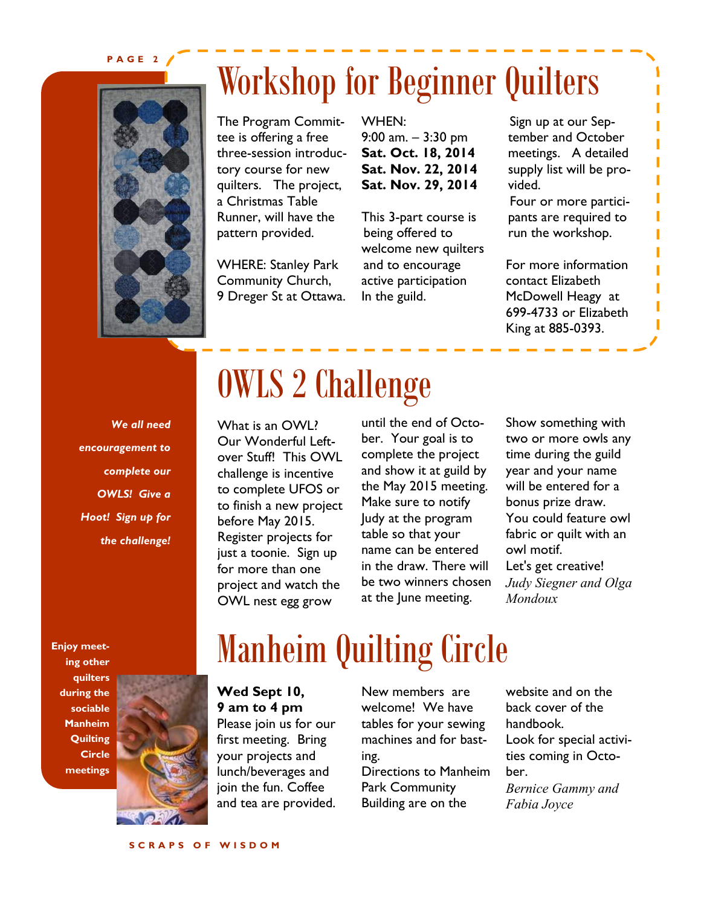#### **PAGE 2**



### Workshop for Beginner Quilters

The Program Committee is offering a free three-session introductory course for new quilters. The project, a Christmas Table Runner, will have the pattern provided.

WHERE: Stanley Park Community Church, 9 Dreger St at Ottawa. WHEN: 9:00 am.  $-3:30$  pm **Sat. Oct. 18, 2014 Sat. Nov. 22, 2014 Sat. Nov. 29, 2014**

This 3-part course is being offered to welcome new quilters and to encourage active participation In the guild.

Sign up at our September and October meetings. A detailed supply list will be provided. Four or more partici-

pants are required to run the workshop.

For more information contact Elizabeth McDowell Heagy at 699-4733 or Elizabeth King at 885-0393.

*We all need encouragement to complete our OWLS! Give a Hoot! Sign up for the challenge!*

**Enjoy meeting other quilters during the sociable Manheim Quilting Circle meetings**



### OWLS 2 Challenge

What is an OWL? Our Wonderful Leftover Stuff! This OWL challenge is incentive to complete UFOS or to finish a new project before May 2015. Register projects for just a toonie. Sign up for more than one project and watch the OWL nest egg grow

until the end of October. Your goal is to complete the project and show it at guild by the May 2015 meeting. Make sure to notify Judy at the program table so that your name can be entered in the draw. There will be two winners chosen at the June meeting.

Show something with two or more owls any time during the guild year and your name will be entered for a bonus prize draw. You could feature owl fabric or quilt with an owl motif. Let's get creative! *Judy Siegner and Olga Mondoux*

# Manheim Quilting Circle

#### **Wed Sept 10, 9 am to 4 pm**

Please join us for our first meeting. Bring your projects and lunch/beverages and join the fun. Coffee and tea are provided. New members are welcome! We have tables for your sewing machines and for basting. Directions to Manheim Park Community Building are on the

website and on the back cover of the handbook. Look for special activities coming in October. *Bernice Gammy and Fabia Joyce*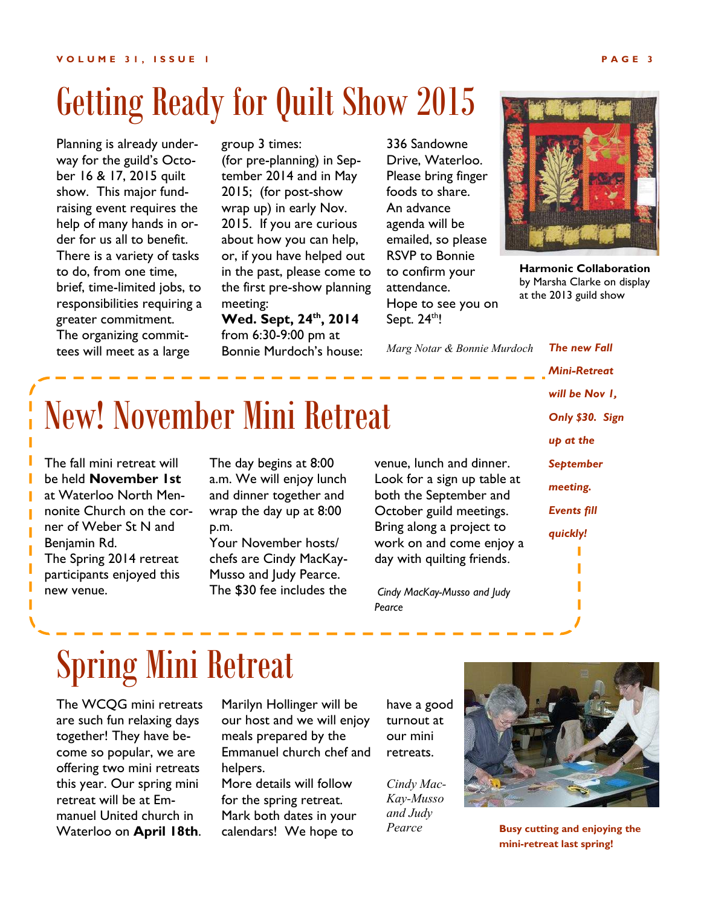### Getting Ready for Quilt Show 2015

Planning is already underway for the guild's October 16 & 17, 2015 quilt show. This major fundraising event requires the help of many hands in order for us all to benefit. There is a variety of tasks to do, from one time, brief, time-limited jobs, to responsibilities requiring a greater commitment. The organizing committees will meet as a large

group 3 times: (for pre-planning) in September 2014 and in May 2015; (for post-show wrap up) in early Nov. 2015. If you are curious about how you can help, or, if you have helped out in the past, please come to the first pre-show planning meeting:

**Wed. Sept, 24th, 2014** from 6:30-9:00 pm at Bonnie Murdoch's house:

336 Sandowne Drive, Waterloo. Please bring finger foods to share. An advance agenda will be emailed, so please RSVP to Bonnie to confirm your attendance. Hope to see you on Sept.  $24<sup>th</sup>!$ 



**Harmonic Collaboration**  by Marsha Clarke on display at the 2013 guild show

*The new Fall* 

*Marg Notar & Bonnie Murdoch*

# New! November Mini Retreat

The fall mini retreat will be held **November 1st**  at Waterloo North Mennonite Church on the corner of Weber St N and Benjamin Rd. The Spring 2014 retreat participants enjoyed this new venue.

The day begins at 8:00 a.m. We will enjoy lunch and dinner together and wrap the day up at 8:00 p.m.

Your November hosts/ chefs are Cindy MacKay-Musso and Judy Pearce. The \$30 fee includes the

venue, lunch and dinner. Look for a sign up table at both the September and October guild meetings. Bring along a project to work on and come enjoy a day with quilting friends.

*Cindy MacKay-Musso and Judy Pearce*

*Mini-Retreat will be Nov 1, Only \$30. Sign up at the September meeting. Events fill quickly!* 

### Spring Mini Retreat

The WCQG mini retreats are such fun relaxing days together! They have become so popular, we are offering two mini retreats this year. Our spring mini retreat will be at Emmanuel United church in Waterloo on **April 18th**. Marilyn Hollinger will be our host and we will enjoy meals prepared by the Emmanuel church chef and helpers.

More details will follow for the spring retreat. Mark both dates in your calendars! We hope to

have a good turnout at our mini retreats.

*Cindy Mac-Kay-Musso and Judy Pearce*



**Busy cutting and enjoying the mini-retreat last spring!**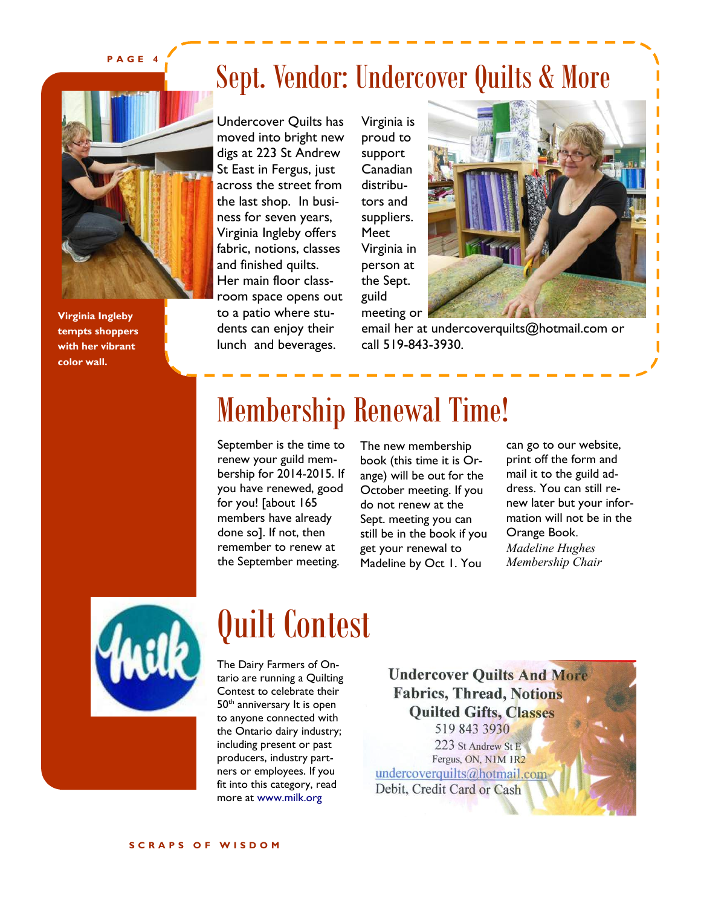**PAGE 4**



**Virginia Ingleby tempts shoppers with her vibrant color wall.**

### Sept. Vendor: Undercover Quilts & More

Undercover Quilts has moved into bright new digs at 223 St Andrew St East in Fergus, just across the street from the last shop. In business for seven years, Virginia Ingleby offers fabric, notions, classes and finished quilts. Her main floor classroom space opens out to a patio where students can enjoy their lunch and beverages.

Virginia is proud to support Canadian distributors and suppliers. Meet Virginia in person at the Sept. guild meeting or



П

email her at undercoverquilts@hotmail.com or call 519-843-3930.

### Membership Renewal Time!

September is the time to renew your guild membership for 2014-2015. If you have renewed, good for you! [about 165 members have already done so]. If not, then remember to renew at the September meeting.

The new membership book (this time it is Orange) will be out for the October meeting. If you do not renew at the Sept. meeting you can still be in the book if you get your renewal to Madeline by Oct 1. You

can go to our website, print off the form and mail it to the guild address. You can still renew later but your information will not be in the Orange Book. *Madeline Hughes Membership Chair*



### Quilt Contest

The Dairy Farmers of Ontario are running a Quilting Contest to celebrate their 50<sup>th</sup> anniversary It is open to anyone connected with the Ontario dairy industry; including present or past producers, industry partners or employees. If you fit into this category, read more at www.milk.org

**Undercover Quilts And More Fabrics, Thread, Notions Quilted Gifts, Classes** 519 843 3930 223 St Andrew St E Fergus, ON, N1M 1R2 undercoverquilts@hotmail.com Debit, Credit Card or Cash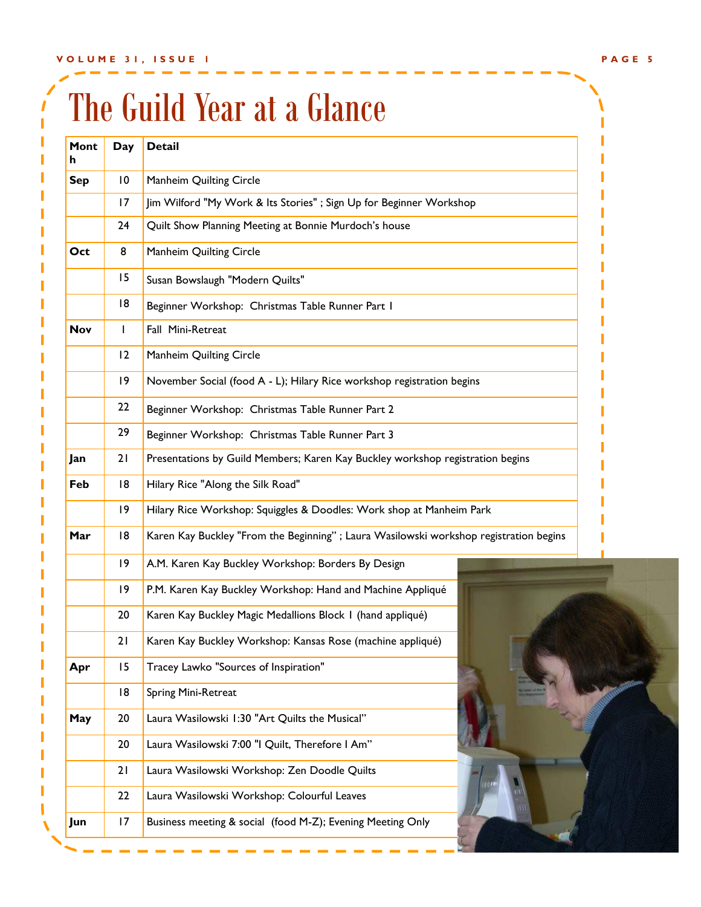# The Guild Year at a Glance

| Mont<br>h  | Day                                                                       | <b>Detail</b>                                                                          |  |  |  |
|------------|---------------------------------------------------------------------------|----------------------------------------------------------------------------------------|--|--|--|
| <b>Sep</b> | 10                                                                        | Manheim Quilting Circle                                                                |  |  |  |
|            | Jim Wilford "My Work & Its Stories" ; Sign Up for Beginner Workshop<br>17 |                                                                                        |  |  |  |
|            | 24                                                                        | Quilt Show Planning Meeting at Bonnie Murdoch's house                                  |  |  |  |
| Oct        | 8                                                                         | Manheim Quilting Circle                                                                |  |  |  |
|            | 15                                                                        | Susan Bowslaugh "Modern Quilts"                                                        |  |  |  |
|            | 18                                                                        | Beginner Workshop: Christmas Table Runner Part I                                       |  |  |  |
| <b>Nov</b> | T                                                                         | Fall Mini-Retreat                                                                      |  |  |  |
|            | 12                                                                        | Manheim Quilting Circle                                                                |  |  |  |
|            | 9                                                                         | November Social (food A - L); Hilary Rice workshop registration begins                 |  |  |  |
|            | 22                                                                        | Beginner Workshop: Christmas Table Runner Part 2                                       |  |  |  |
|            | 29                                                                        | Beginner Workshop: Christmas Table Runner Part 3                                       |  |  |  |
| Jan        | 21                                                                        | Presentations by Guild Members; Karen Kay Buckley workshop registration begins         |  |  |  |
| Feb        | 18                                                                        | Hilary Rice "Along the Silk Road"                                                      |  |  |  |
|            | 9                                                                         | Hilary Rice Workshop: Squiggles & Doodles: Work shop at Manheim Park                   |  |  |  |
| Mar        | 18                                                                        | Karen Kay Buckley "From the Beginning" ; Laura Wasilowski workshop registration begins |  |  |  |
|            | 9                                                                         | A.M. Karen Kay Buckley Workshop: Borders By Design                                     |  |  |  |
|            | 9                                                                         | P.M. Karen Kay Buckley Workshop: Hand and Machine Appliqué                             |  |  |  |
|            | 20                                                                        | Karen Kay Buckley Magic Medallions Block 1 (hand appliqué)                             |  |  |  |
|            | 21                                                                        | Karen Kay Buckley Workshop: Kansas Rose (machine appliqué)                             |  |  |  |
| Apr        | 15                                                                        | Tracey Lawko "Sources of Inspiration"                                                  |  |  |  |
|            | 18                                                                        | Spring Mini-Retreat                                                                    |  |  |  |
| May        | 20                                                                        | Laura Wasilowski 1:30 "Art Quilts the Musical"                                         |  |  |  |
|            | 20                                                                        | Laura Wasilowski 7:00 "I Quilt, Therefore I Am"                                        |  |  |  |
|            | 21                                                                        | Laura Wasilowski Workshop: Zen Doodle Quilts                                           |  |  |  |
|            | 22                                                                        | Laura Wasilowski Workshop: Colourful Leaves                                            |  |  |  |
| Jun        | 17                                                                        | Business meeting & social (food M-Z); Evening Meeting Only                             |  |  |  |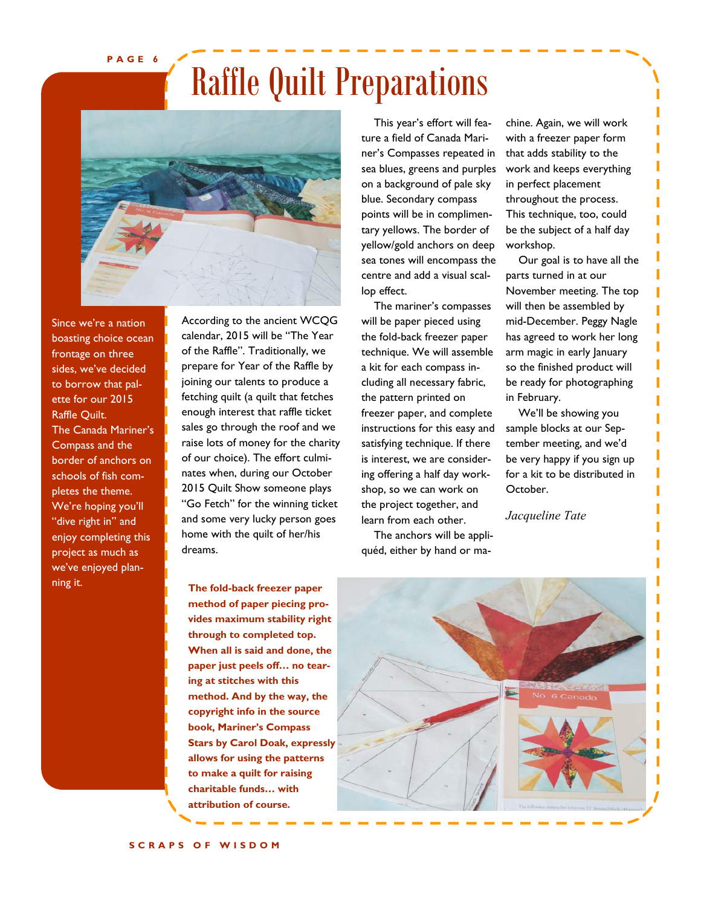**PAGE 6**

## Raffle Quilt Preparations



Since we're a nation boasting choice ocean frontage on three sides, we've decided to borrow that palette for our 2015 Raffle Quilt. The Canada Mariner's Compass and the border of anchors on schools of fish completes the theme. We're hoping you'll "dive right in" and enjoy completing this project as much as we've enjoyed planning it.

According to the ancient WCQG calendar, 2015 will be "The Year of the Raffle". Traditionally, we prepare for Year of the Raffle by joining our talents to produce a fetching quilt (a quilt that fetches enough interest that raffle ticket sales go through the roof and we raise lots of money for the charity of our choice). The effort culminates when, during our October 2015 Quilt Show someone plays "Go Fetch" for the winning ticket and some very lucky person goes home with the quilt of her/his dreams.

**The fold-back freezer paper method of paper piecing provides maximum stability right through to completed top. When all is said and done, the**  paper just peels off... no tear**ing at stitches with this method. And by the way, the copyright info in the source**  book, Mariner's Compass **Stars by Carol Doak, expressly allows for using the patterns to make a quilt for raising**  charitable funds... with **attribution of course.**

This year's effort will feature a field of Canada Mariner's Compasses repeated in sea blues, greens and purples on a background of pale sky blue. Secondary compass points will be in complimentary yellows. The border of yellow/gold anchors on deep sea tones will encompass the centre and add a visual scallop effect.

The mariner's compasses will be paper pieced using the fold-back freezer paper technique. We will assemble a kit for each compass including all necessary fabric, the pattern printed on freezer paper, and complete instructions for this easy and satisfying technique. If there is interest, we are considering offering a half day workshop, so we can work on the project together, and learn from each other.

The anchors will be appliquéd, either by hand or ma-

chine. Again, we will work with a freezer paper form that adds stability to the work and keeps everything in perfect placement throughout the process. This technique, too, could be the subject of a half day workshop.

Our goal is to have all the parts turned in at our November meeting. The top will then be assembled by mid-December. Peggy Nagle has agreed to work her long arm magic in early January so the finished product will be ready for photographing in February.

We'll be showing you sample blocks at our September meeting, and we'd be very happy if you sign up for a kit to be distributed in October.

*Jacqueline Tate*

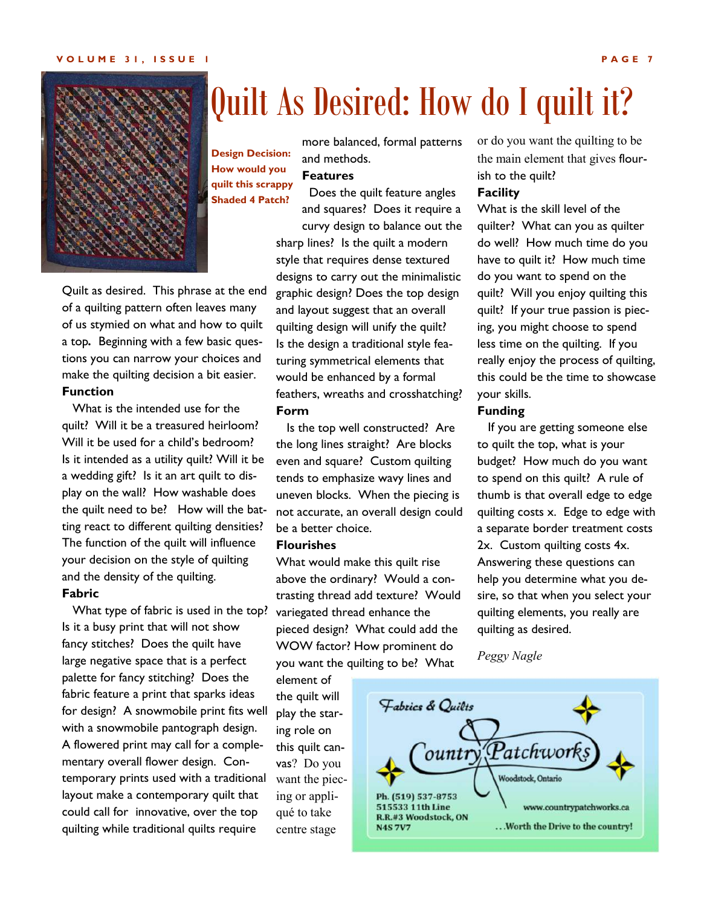#### **VOLUME 31, ISSUE 1 PAGE 7**



### Quilt As Desired: How do I quilt it?

more balanced, formal patterns and methods.

#### **Features How would you quilt this scrappy**

 Does the quilt feature angles and squares? Does it require a curvy design to balance out the sharp lines? Is the quilt a modern style that requires dense textured designs to carry out the minimalistic graphic design? Does the top design and layout suggest that an overall quilting design will unify the quilt? Is the design a traditional style featuring symmetrical elements that would be enhanced by a formal feathers, wreaths and crosshatching? **Form Shaded 4 Patch?** 

of a quilting pattern often leaves many of us stymied on what and how to quilt a top*.* Beginning with a few basic questions you can narrow your choices and make the quilting decision a bit easier. **Function**

Quilt as desired. This phrase at the end

 What is the intended use for the quilt? Will it be a treasured heirloom? Will it be used for a child's bedroom? Is it intended as a utility quilt? Will it be a wedding gift? Is it an art quilt to display on the wall? How washable does the quilt need to be? How will the batting react to different quilting densities? The function of the quilt will influence your decision on the style of quilting and the density of the quilting.

#### **Fabric**

 What type of fabric is used in the top? Is it a busy print that will not show fancy stitches? Does the quilt have large negative space that is a perfect palette for fancy stitching? Does the fabric feature a print that sparks ideas for design? A snowmobile print fits well with a snowmobile pantograph design. A flowered print may call for a complementary overall flower design. Contemporary prints used with a traditional layout make a contemporary quilt that could call for innovative, over the top quilting while traditional quilts require

 Is the top well constructed? Are the long lines straight? Are blocks even and square? Custom quilting tends to emphasize wavy lines and uneven blocks. When the piecing is not accurate, an overall design could be a better choice.

#### **Flourishes**

What would make this quilt rise above the ordinary? Would a contrasting thread add texture? Would variegated thread enhance the pieced design? What could add the WOW factor? How prominent do you want the quilting to be? What

element of the quilt will play the staring role on this quilt canvas? Do you want the piecing or appliqué to take centre stage

or do you want the quilting to be the main element that gives flourish to the quilt?

#### **Facility**

What is the skill level of the quilter? What can you as quilter do well? How much time do you have to quilt it? How much time do you want to spend on the quilt? Will you enjoy quilting this quilt? If your true passion is piecing, you might choose to spend less time on the quilting. If you really enjoy the process of quilting, this could be the time to showcase your skills.

#### **Funding**

 If you are getting someone else to quilt the top, what is your budget? How much do you want to spend on this quilt? A rule of thumb is that overall edge to edge quilting costs x. Edge to edge with a separate border treatment costs 2x. Custom quilting costs 4x. Answering these questions can help you determine what you desire, so that when you select your quilting elements, you really are quilting as desired.

*Peggy Nagle*